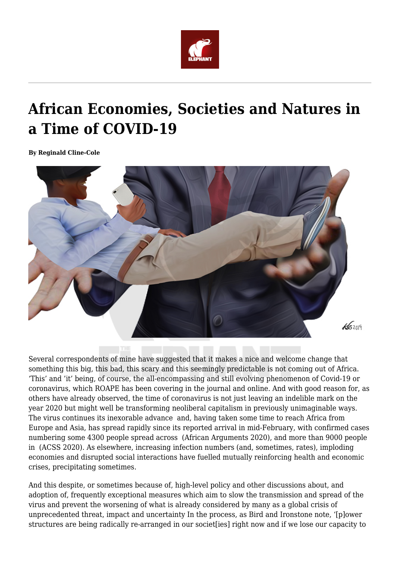

## **African Economies, Societies and Natures in a Time of COVID-19**

**By Reginald Cline-Cole**



Several correspondents of mine have suggested that it makes a nice and welcome change that something this big, this bad, this scary and this seemingly predictable is not coming out of Africa. 'This' and 'it' being, of course, the all-encompassing and still evolving phenomenon of Covid-19 or coronavirus, which ROAPE has been covering in the journal and online. And with good reason for, as others have already observed, the time of coronavirus is not just leaving an indelible mark on the year 2020 but might well be transforming neoliberal capitalism in previously unimaginable ways. The virus continues its inexorable advance and, having taken some time to reach Africa from Europe and Asia, has spread rapidly since its reported arrival in mid-February, with confirmed cases numbering some 4300 people spread across (African Arguments 2020), and more than 9000 people in (ACSS 2020). As elsewhere, increasing infection numbers (and, sometimes, rates), imploding economies and disrupted social interactions have fuelled mutually reinforcing health and economic crises, precipitating sometimes.

And this despite, or sometimes because of, high-level policy and other discussions about, and adoption of, frequently exceptional measures which aim to slow the transmission and spread of the virus and prevent the worsening of what is already considered by many as a global crisis of unprecedented threat, impact and uncertainty In the process, as Bird and Ironstone note, '[p]ower structures are being radically re-arranged in our societ[ies] right now and if we lose our capacity to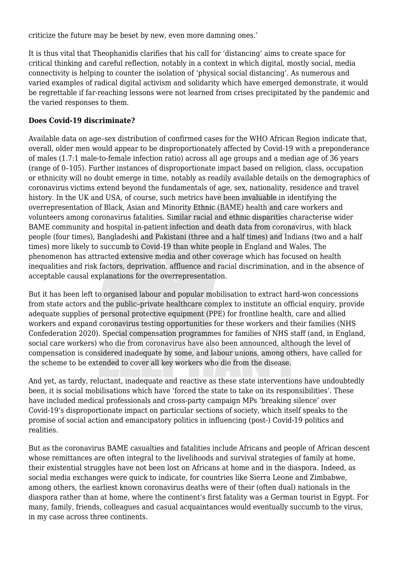criticize the future may be beset by new, even more damning ones.'

It is thus vital that Theophanidis clarifies that his call for 'distancing' aims to create space for critical thinking and careful reflection, notably in a context in which digital, mostly social, media connectivity is helping to counter the isolation of 'physical social distancing'. As numerous and varied examples of radical digital activism and solidarity which have emerged demonstrate, it would be regrettable if far-reaching lessons were not learned from crises precipitated by the pandemic and the varied responses to them.

## **Does Covid-19 discriminate?**

Available data on age–sex distribution of confirmed cases for the WHO African Region indicate that, overall, older men would appear to be disproportionately affected by Covid-19 with a preponderance of males (1.7:1 male-to-female infection ratio) across all age groups and a median age of 36 years (range of 0–105). Further instances of disproportionate impact based on religion, class, occupation or ethnicity will no doubt emerge in time, notably as readily available details on the demographics of coronavirus victims extend beyond the fundamentals of age, sex, nationality, residence and travel history. In the UK and USA, of course, such metrics have been invaluable in identifying the overrepresentation of Black, Asian and Minority Ethnic (BAME) health and care workers and volunteers among coronavirus fatalities. Similar racial and ethnic disparities characterise wider BAME community and hospital in-patient infection and death data from coronavirus, with black people (four times), Bangladeshi and Pakistani (three and a half times) and Indians (two and a half times) more likely to succumb to Covid-19 than white people in England and Wales. The phenomenon has attracted extensive media and other coverage which has focused on health inequalities and risk factors, deprivation, affluence and racial discrimination, and in the absence of acceptable causal explanations for the overrepresentation.

But it has been left to organised labour and popular mobilisation to extract hard-won concessions from state actors and the public–private healthcare complex to institute an official enquiry, provide adequate supplies of personal protective equipment (PPE) for frontline health, care and allied workers and expand coronavirus testing opportunities for these workers and their families (NHS Confederation 2020). Special compensation programmes for families of NHS staff (and, in England, social care workers) who die from coronavirus have also been announced, although the level of compensation is considered inadequate by some, and labour unions, among others, have called for the scheme to be extended to cover all key workers who die from the disease.

And yet, as tardy, reluctant, inadequate and reactive as these state interventions have undoubtedly been, it is social mobilisations which have 'forced the state to take on its responsibilities'. These have included medical professionals and cross-party campaign MPs 'breaking silence' over Covid-19's disproportionate impact on particular sections of society, which itself speaks to the promise of social action and emancipatory politics in influencing (post-) Covid-19 politics and realities.

But as the coronavirus BAME casualties and fatalities include Africans and people of African descent whose remittances are often integral to the livelihoods and survival strategies of family at home, their existential struggles have not been lost on Africans at home and in the diaspora. Indeed, as social media exchanges were quick to indicate, for countries like Sierra Leone and Zimbabwe, among others, the earliest known coronavirus deaths were of their (often dual) nationals in the diaspora rather than at home, where the continent's first fatality was a German tourist in Egypt. For many, family, friends, colleagues and casual acquaintances would eventually succumb to the virus, in my case across three continents.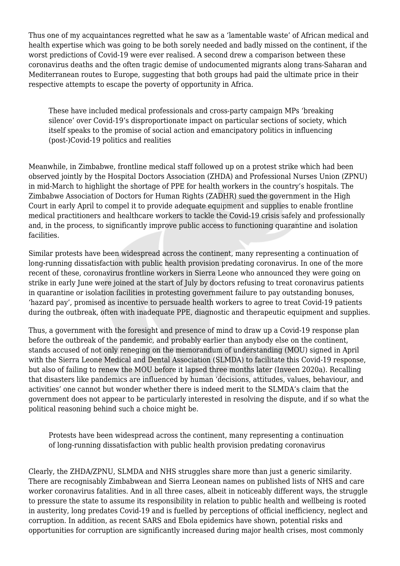Thus one of my acquaintances regretted what he saw as a 'lamentable waste' of African medical and health expertise which was going to be both sorely needed and badly missed on the continent, if the worst predictions of Covid-19 were ever realised. A second drew a comparison between these coronavirus deaths and the often tragic demise of undocumented migrants along trans-Saharan and Mediterranean routes to Europe, suggesting that both groups had paid the ultimate price in their respective attempts to escape the poverty of opportunity in Africa.

These have included medical professionals and cross-party campaign MPs 'breaking silence' over Covid-19's disproportionate impact on particular sections of society, which itself speaks to the promise of social action and emancipatory politics in influencing (post-)Covid-19 politics and realities

Meanwhile, in Zimbabwe, frontline medical staff followed up on a protest strike which had been observed jointly by the Hospital Doctors Association (ZHDA) and Professional Nurses Union (ZPNU) in mid-March to highlight the shortage of PPE for health workers in the country's hospitals. The Zimbabwe Association of Doctors for Human Rights (ZADHR) sued the government in the High Court in early April to compel it to provide adequate equipment and supplies to enable frontline medical practitioners and healthcare workers to tackle the Covid-19 crisis safely and professionally and, in the process, to significantly improve public access to functioning quarantine and isolation facilities.

Similar protests have been widespread across the continent, many representing a continuation of long-running dissatisfaction with public health provision predating coronavirus. In one of the more recent of these, coronavirus frontline workers in Sierra Leone who announced they were going on strike in early June were joined at the start of July by doctors refusing to treat coronavirus patients in quarantine or isolation facilities in protesting government failure to pay outstanding bonuses, 'hazard pay', promised as incentive to persuade health workers to agree to treat Covid-19 patients during the outbreak, often with inadequate PPE, diagnostic and therapeutic equipment and supplies.

Thus, a government with the foresight and presence of mind to draw up a Covid-19 response plan before the outbreak of the pandemic, and probably earlier than anybody else on the continent, stands accused of not only reneging on the memorandum of understanding (MOU) signed in April with the Sierra Leone Medical and Dental Association (SLMDA) to facilitate this Covid-19 response, but also of failing to renew the MOU before it lapsed three months later (Inveen 2020a). Recalling that disasters like pandemics are influenced by human 'decisions, attitudes, values, behaviour, and activities' one cannot but wonder whether there is indeed merit to the SLMDA's claim that the government does not appear to be particularly interested in resolving the dispute, and if so what the political reasoning behind such a choice might be.

Protests have been widespread across the continent, many representing a continuation of long-running dissatisfaction with public health provision predating coronavirus

Clearly, the ZHDA/ZPNU, SLMDA and NHS struggles share more than just a generic similarity. There are recognisably Zimbabwean and Sierra Leonean names on published lists of NHS and care worker coronavirus fatalities. And in all three cases, albeit in noticeably different ways, the struggle to pressure the state to assume its responsibility in relation to public health and wellbeing is rooted in austerity, long predates Covid-19 and is fuelled by perceptions of official inefficiency, neglect and corruption. In addition, as recent SARS and Ebola epidemics have shown, potential risks and opportunities for corruption are significantly increased during major health crises, most commonly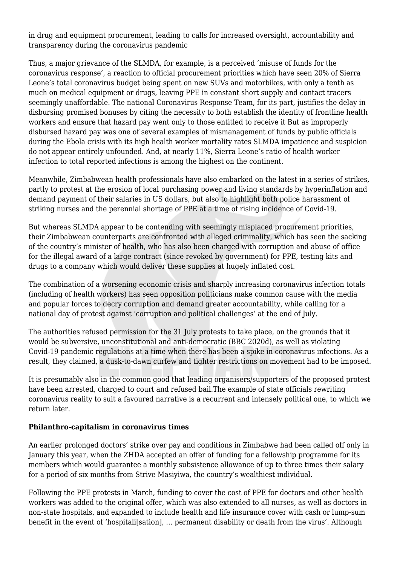in drug and equipment procurement, leading to calls for increased oversight, accountability and transparency during the coronavirus pandemic

Thus, a major grievance of the SLMDA, for example, is a perceived 'misuse of funds for the coronavirus response', a reaction to official procurement priorities which have seen 20% of Sierra Leone's total coronavirus budget being spent on new SUVs and motorbikes, with only a tenth as much on medical equipment or drugs, leaving PPE in constant short supply and contact tracers seemingly unaffordable. The national Coronavirus Response Team, for its part, justifies the delay in disbursing promised bonuses by citing the necessity to both establish the identity of frontline health workers and ensure that hazard pay went only to those entitled to receive it But as improperly disbursed hazard pay was one of several examples of mismanagement of funds by public officials during the Ebola crisis with its high health worker mortality rates SLMDA impatience and suspicion do not appear entirely unfounded. And, at nearly 11%, Sierra Leone's ratio of health worker infection to total reported infections is among the highest on the continent.

Meanwhile, Zimbabwean health professionals have also embarked on the latest in a series of strikes, partly to protest at the erosion of local purchasing power and living standards by hyperinflation and demand payment of their salaries in US dollars, but also to highlight both police harassment of striking nurses and the perennial shortage of PPE at a time of rising incidence of Covid-19.

But whereas SLMDA appear to be contending with seemingly misplaced procurement priorities, their Zimbabwean counterparts are confronted with alleged criminality, which has seen the sacking of the country's minister of health, who has also been charged with corruption and abuse of office for the illegal award of a large contract (since revoked by government) for PPE, testing kits and drugs to a company which would deliver these supplies at hugely inflated cost.

The combination of a worsening economic crisis and sharply increasing coronavirus infection totals (including of health workers) has seen opposition politicians make common cause with the media and popular forces to decry corruption and demand greater accountability, while calling for a national day of protest against 'corruption and political challenges' at the end of July.

The authorities refused permission for the 31 July protests to take place, on the grounds that it would be subversive, unconstitutional and anti-democratic (BBC 2020d), as well as violating Covid-19 pandemic regulations at a time when there has been a spike in coronavirus infections. As a result, they claimed, a dusk-to-dawn curfew and tighter restrictions on movement had to be imposed.

It is presumably also in the common good that leading organisers/supporters of the proposed protest have been arrested, charged to court and refused bail.The example of state officials rewriting coronavirus reality to suit a favoured narrative is a recurrent and intensely political one, to which we return later.

## **Philanthro-capitalism in coronavirus times**

An earlier prolonged doctors' strike over pay and conditions in Zimbabwe had been called off only in January this year, when the ZHDA accepted an offer of funding for a fellowship programme for its members which would guarantee a monthly subsistence allowance of up to three times their salary for a period of six months from Strive Masiyiwa, the country's wealthiest individual.

Following the PPE protests in March, funding to cover the cost of PPE for doctors and other health workers was added to the original offer, which was also extended to all nurses, as well as doctors in non-state hospitals, and expanded to include health and life insurance cover with cash or lump-sum benefit in the event of 'hospitali[sation], … permanent disability or death from the virus'. Although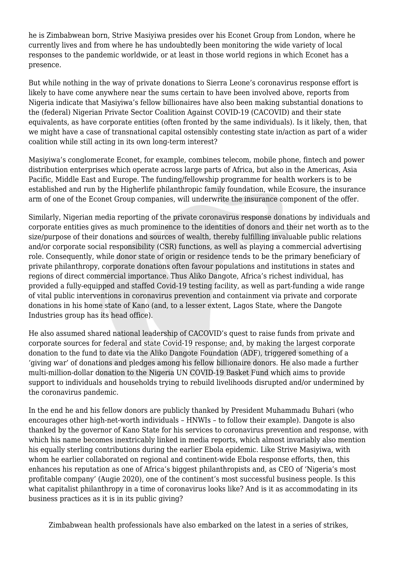he is Zimbabwean born, Strive Masiyiwa presides over his Econet Group from London, where he currently lives and from where he has undoubtedly been monitoring the wide variety of local responses to the pandemic worldwide, or at least in those world regions in which Econet has a presence.

But while nothing in the way of private donations to Sierra Leone's coronavirus response effort is likely to have come anywhere near the sums certain to have been involved above, reports from Nigeria indicate that Masiyiwa's fellow billionaires have also been making substantial donations to the (federal) Nigerian Private Sector Coalition Against COVID-19 (CACOVID) and their state equivalents, as have corporate entities (often fronted by the same individuals). Is it likely, then, that we might have a case of transnational capital ostensibly contesting state in/action as part of a wider coalition while still acting in its own long-term interest?

Masiyiwa's conglomerate Econet, for example, combines telecom, mobile phone, fintech and power distribution enterprises which operate across large parts of Africa, but also in the Americas, Asia Pacific, Middle East and Europe. The funding/fellowship programme for health workers is to be established and run by the Higherlife philanthropic family foundation, while Ecosure, the insurance arm of one of the Econet Group companies, will underwrite the insurance component of the offer.

Similarly, Nigerian media reporting of the private coronavirus response donations by individuals and corporate entities gives as much prominence to the identities of donors and their net worth as to the size/purpose of their donations and sources of wealth, thereby fulfilling invaluable public relations and/or corporate social responsibility (CSR) functions, as well as playing a commercial advertising role. Consequently, while donor state of origin or residence tends to be the primary beneficiary of private philanthropy, corporate donations often favour populations and institutions in states and regions of direct commercial importance. Thus Aliko Dangote, Africa's richest individual, has provided a fully-equipped and staffed Covid-19 testing facility, as well as part-funding a wide range of vital public interventions in coronavirus prevention and containment via private and corporate donations in his home state of Kano (and, to a lesser extent, Lagos State, where the Dangote Industries group has its head office).

He also assumed shared national leadership of CACOVID's quest to raise funds from private and corporate sources for federal and state Covid-19 response; and, by making the largest corporate donation to the fund to date via the Aliko Dangote Foundation (ADF), triggered something of a 'giving war' of donations and pledges among his fellow billionaire donors. He also made a further multi-million-dollar donation to the Nigeria UN COVID-19 Basket Fund which aims to provide support to individuals and households trying to rebuild livelihoods disrupted and/or undermined by the coronavirus pandemic.

In the end he and his fellow donors are publicly thanked by President Muhammadu Buhari (who encourages other high-net-worth individuals – HNWIs – to follow their example). Dangote is also thanked by the governor of Kano State for his services to coronavirus prevention and response, with which his name becomes inextricably linked in media reports, which almost invariably also mention his equally sterling contributions during the earlier Ebola epidemic. Like Strive Masiyiwa, with whom he earlier collaborated on regional and continent-wide Ebola response efforts, then, this enhances his reputation as one of Africa's biggest philanthropists and, as CEO of 'Nigeria's most profitable company' (Augie 2020), one of the continent's most successful business people. Is this what capitalist philanthropy in a time of coronavirus looks like? And is it as accommodating in its business practices as it is in its public giving?

Zimbabwean health professionals have also embarked on the latest in a series of strikes,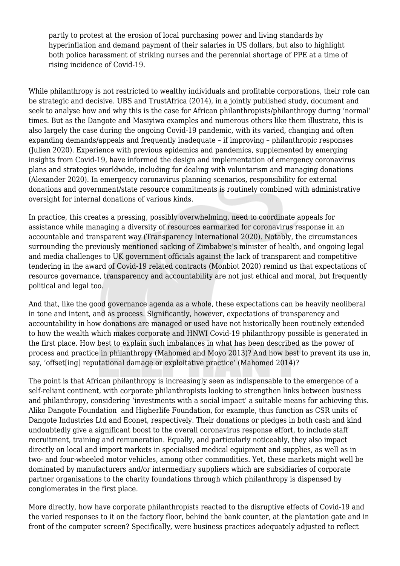partly to protest at the erosion of local purchasing power and living standards by hyperinflation and demand payment of their salaries in US dollars, but also to highlight both police harassment of striking nurses and the perennial shortage of PPE at a time of rising incidence of Covid-19.

While philanthropy is not restricted to wealthy individuals and profitable corporations, their role can be strategic and decisive. UBS and TrustAfrica (2014), in a jointly published study, document and seek to analyse how and why this is the case for African philanthropists/philanthropy during 'normal' times. But as the Dangote and Masiyiwa examples and numerous others like them illustrate, this is also largely the case during the ongoing Covid-19 pandemic, with its varied, changing and often expanding demands/appeals and frequently inadequate – if improving – philanthropic responses (Julien 2020). Experience with previous epidemics and pandemics, supplemented by emerging insights from Covid-19, have informed the design and implementation of emergency coronavirus plans and strategies worldwide, including for dealing with voluntarism and managing donations (Alexander 2020). In emergency coronavirus planning scenarios, responsibility for external donations and government/state resource commitments is routinely combined with administrative oversight for internal donations of various kinds.

In practice, this creates a pressing, possibly overwhelming, need to coordinate appeals for assistance while managing a diversity of resources earmarked for coronavirus response in an accountable and transparent way (Transparency International 2020). Notably, the circumstances surrounding the previously mentioned sacking of Zimbabwe's minister of health, and ongoing legal and media challenges to UK government officials against the lack of transparent and competitive tendering in the award of Covid-19 related contracts (Monbiot 2020) remind us that expectations of resource governance, transparency and accountability are not just ethical and moral, but frequently political and legal too.

And that, like the good governance agenda as a whole, these expectations can be heavily neoliberal in tone and intent, and as process. Significantly, however, expectations of transparency and accountability in how donations are managed or used have not historically been routinely extended to how the wealth which makes corporate and HNWI Covid-19 philanthropy possible is generated in the first place. How best to explain such imbalances in what has been described as the power of process and practice in philanthropy (Mahomed and Moyo 2013)? And how best to prevent its use in, say, 'offset[ing] reputational damage or exploitative practice' (Mahomed 2014)?

The point is that African philanthropy is increasingly seen as indispensable to the emergence of a self-reliant continent, with corporate philanthropists looking to strengthen links between business and philanthropy, considering 'investments with a social impact' a suitable means for achieving this. Aliko Dangote Foundation and Higherlife Foundation, for example, thus function as CSR units of Dangote Industries Ltd and Econet, respectively. Their donations or pledges in both cash and kind undoubtedly give a significant boost to the overall coronavirus response effort, to include staff recruitment, training and remuneration. Equally, and particularly noticeably, they also impact directly on local and import markets in specialised medical equipment and supplies, as well as in two- and four-wheeled motor vehicles, among other commodities. Yet, these markets might well be dominated by manufacturers and/or intermediary suppliers which are subsidiaries of corporate partner organisations to the charity foundations through which philanthropy is dispensed by conglomerates in the first place.

More directly, how have corporate philanthropists reacted to the disruptive effects of Covid-19 and the varied responses to it on the factory floor, behind the bank counter, at the plantation gate and in front of the computer screen? Specifically, were business practices adequately adjusted to reflect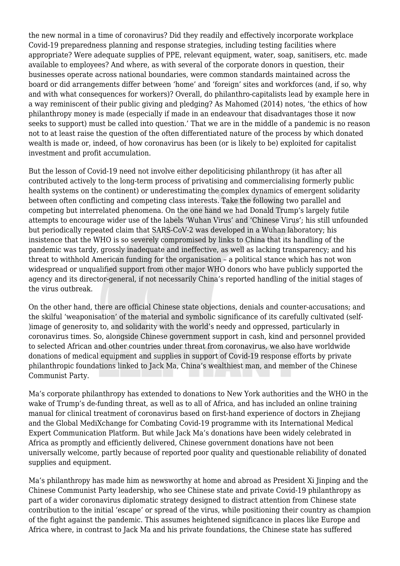the new normal in a time of coronavirus? Did they readily and effectively incorporate workplace Covid-19 preparedness planning and response strategies, including testing facilities where appropriate? Were adequate supplies of PPE, relevant equipment, water, soap, sanitisers, etc. made available to employees? And where, as with several of the corporate donors in question, their businesses operate across national boundaries, were common standards maintained across the board or did arrangements differ between 'home' and 'foreign' sites and workforces (and, if so, why and with what consequences for workers)? Overall, do philanthro-capitalists lead by example here in a way reminiscent of their public giving and pledging? As Mahomed (2014) notes, 'the ethics of how philanthropy money is made (especially if made in an endeavour that disadvantages those it now seeks to support) must be called into question.' That we are in the middle of a pandemic is no reason not to at least raise the question of the often differentiated nature of the process by which donated wealth is made or, indeed, of how coronavirus has been (or is likely to be) exploited for capitalist investment and profit accumulation.

But the lesson of Covid-19 need not involve either depoliticising philanthropy (it has after all contributed actively to the long-term process of privatising and commercialising formerly public health systems on the continent) or underestimating the complex dynamics of emergent solidarity between often conflicting and competing class interests. Take the following two parallel and competing but interrelated phenomena. On the one hand we had Donald Trump's largely futile attempts to encourage wider use of the labels 'Wuhan Virus' and 'Chinese Virus'; his still unfounded but periodically repeated claim that SARS-CoV-2 was developed in a Wuhan laboratory; his insistence that the WHO is so severely compromised by links to China that its handling of the pandemic was tardy, grossly inadequate and ineffective, as well as lacking transparency; and his threat to withhold American funding for the organisation – a political stance which has not won widespread or unqualified support from other major WHO donors who have publicly supported the agency and its director-general, if not necessarily China's reported handling of the initial stages of the virus outbreak.

On the other hand, there are official Chinese state objections, denials and counter-accusations; and the skilful 'weaponisation' of the material and symbolic significance of its carefully cultivated (self- )image of generosity to, and solidarity with the world's needy and oppressed, particularly in coronavirus times. So, alongside Chinese government support in cash, kind and personnel provided to selected African and other countries under threat from coronavirus, we also have worldwide donations of medical equipment and supplies in support of Covid-19 response efforts by private philanthropic foundations linked to Jack Ma, China's wealthiest man, and member of the Chinese Communist Party.

Ma's corporate philanthropy has extended to donations to New York authorities and the WHO in the wake of Trump's de-funding threat, as well as to all of Africa, and has included an online training manual for clinical treatment of coronavirus based on first-hand experience of doctors in Zhejiang and the Global MediXchange for Combating Covid-19 programme with its International Medical Expert Communication Platform. But while Jack Ma's donations have been widely celebrated in Africa as promptly and efficiently delivered, Chinese government donations have not been universally welcome, partly because of reported poor quality and questionable reliability of donated supplies and equipment.

Ma's philanthropy has made him as newsworthy at home and abroad as President Xi Jinping and the Chinese Communist Party leadership, who see Chinese state and private Covid-19 philanthropy as part of a wider coronavirus diplomatic strategy designed to distract attention from Chinese state contribution to the initial 'escape' or spread of the virus, while positioning their country as champion of the fight against the pandemic. This assumes heightened significance in places like Europe and Africa where, in contrast to Jack Ma and his private foundations, the Chinese state has suffered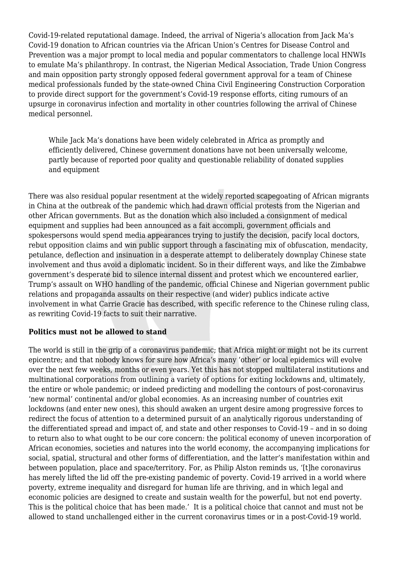Covid-19-related reputational damage. Indeed, the arrival of Nigeria's allocation from Jack Ma's Covid-19 donation to African countries via the African Union's Centres for Disease Control and Prevention was a major prompt to local media and popular commentators to challenge local HNWIs to emulate Ma's philanthropy. In contrast, the Nigerian Medical Association, Trade Union Congress and main opposition party strongly opposed federal government approval for a team of Chinese medical professionals funded by the state-owned China Civil Engineering Construction Corporation to provide direct support for the government's Covid-19 response efforts, citing rumours of an upsurge in coronavirus infection and mortality in other countries following the arrival of Chinese medical personnel.

While Jack Ma's donations have been widely celebrated in Africa as promptly and efficiently delivered, Chinese government donations have not been universally welcome, partly because of reported poor quality and questionable reliability of donated supplies and equipment

There was also residual popular resentment at the widely reported scapegoating of African migrants in China at the outbreak of the pandemic which had drawn official protests from the Nigerian and other African governments. But as the donation which also included a consignment of medical equipment and supplies had been announced as a fait accompli, government officials and spokespersons would spend media appearances trying to justify the decision, pacify local doctors, rebut opposition claims and win public support through a fascinating mix of obfuscation, mendacity, petulance, deflection and insinuation in a desperate attempt to deliberately downplay Chinese state involvement and thus avoid a diplomatic incident. So in their different ways, and like the Zimbabwe government's desperate bid to silence internal dissent and protest which we encountered earlier, Trump's assault on WHO handling of the pandemic, official Chinese and Nigerian government public relations and propaganda assaults on their respective (and wider) publics indicate active involvement in what Carrie Gracie has described, with specific reference to the Chinese ruling class, as rewriting Covid-19 facts to suit their narrative.

## **Politics must not be allowed to stand**

The world is still in the grip of a coronavirus pandemic; that Africa might or might not be its current epicentre; and that nobody knows for sure how Africa's many 'other' or local epidemics will evolve over the next few weeks, months or even years. Yet this has not stopped multilateral institutions and multinational corporations from outlining a variety of options for exiting lockdowns and, ultimately, the entire or whole pandemic; or indeed predicting and modelling the contours of post-coronavirus 'new normal' continental and/or global economies. As an increasing number of countries exit lockdowns (and enter new ones), this should awaken an urgent desire among progressive forces to redirect the focus of attention to a determined pursuit of an analytically rigorous understanding of the differentiated spread and impact of, and state and other responses to Covid-19 – and in so doing to return also to what ought to be our core concern: the political economy of uneven incorporation of African economies, societies and natures into the world economy, the accompanying implications for social, spatial, structural and other forms of differentiation, and the latter's manifestation within and between population, place and space/territory. For, as Philip Alston reminds us, '[t]he coronavirus has merely lifted the lid off the pre-existing pandemic of poverty. Covid-19 arrived in a world where poverty, extreme inequality and disregard for human life are thriving, and in which legal and economic policies are designed to create and sustain wealth for the powerful, but not end poverty. This is the political choice that has been made.' It is a political choice that cannot and must not be allowed to stand unchallenged either in the current coronavirus times or in a post-Covid-19 world.